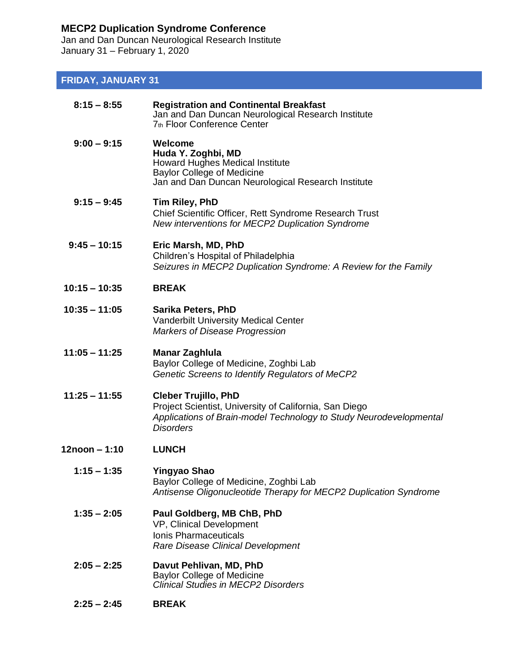## **MECP2 Duplication Syndrome Conference**

Jan and Dan Duncan Neurological Research Institute January 31 – February 1, 2020

## **FRIDAY, JANUARY 31**

| $8:15 - 8:55$   | <b>Registration and Continental Breakfast</b><br>Jan and Dan Duncan Neurological Research Institute<br>7th Floor Conference Center                                              |
|-----------------|---------------------------------------------------------------------------------------------------------------------------------------------------------------------------------|
| $9:00 - 9:15$   | Welcome<br>Huda Y. Zoghbi, MD<br><b>Howard Hughes Medical Institute</b><br><b>Baylor College of Medicine</b><br>Jan and Dan Duncan Neurological Research Institute              |
| $9:15 - 9:45$   | Tim Riley, PhD<br>Chief Scientific Officer, Rett Syndrome Research Trust<br>New interventions for MECP2 Duplication Syndrome                                                    |
| $9:45 - 10:15$  | Eric Marsh, MD, PhD<br>Children's Hospital of Philadelphia<br>Seizures in MECP2 Duplication Syndrome: A Review for the Family                                                   |
| $10:15 - 10:35$ | <b>BREAK</b>                                                                                                                                                                    |
| $10:35 - 11:05$ | <b>Sarika Peters, PhD</b><br><b>Vanderbilt University Medical Center</b><br>Markers of Disease Progression                                                                      |
| $11:05 - 11:25$ | <b>Manar Zaghlula</b><br>Baylor College of Medicine, Zoghbi Lab<br>Genetic Screens to Identify Regulators of MeCP2                                                              |
| $11:25 - 11:55$ | <b>Cleber Trujillo, PhD</b><br>Project Scientist, University of California, San Diego<br>Applications of Brain-model Technology to Study Neurodevelopmental<br><b>Disorders</b> |
| 12noon - 1:10   | <b>LUNCH</b>                                                                                                                                                                    |
| $1:15 - 1:35$   | Yingyao Shao<br>Baylor College of Medicine, Zoghbi Lab<br>Antisense Oligonucleotide Therapy for MECP2 Duplication Syndrome                                                      |
| $1:35 - 2:05$   | Paul Goldberg, MB ChB, PhD<br>VP, Clinical Development<br><b>Ionis Pharmaceuticals</b><br>Rare Disease Clinical Development                                                     |
| $2:05 - 2:25$   | Davut Pehlivan, MD, PhD<br><b>Baylor College of Medicine</b><br><b>Clinical Studies in MECP2 Disorders</b>                                                                      |
| $2:25 - 2:45$   | <b>BREAK</b>                                                                                                                                                                    |
|                 |                                                                                                                                                                                 |